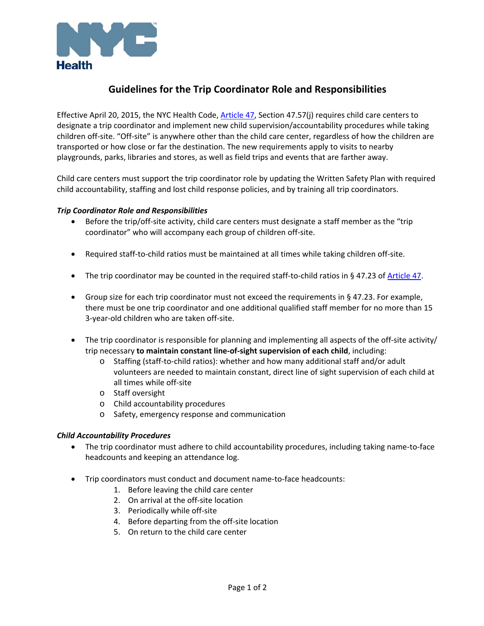

# **Guidelines for the Trip Coordinator Role and Responsibilities**

Effective April 20, 2015, the NYC Health Code, Article 47, Section 47.57(j) requires child care centers to designate a trip coordinator and implement new child supervision/accountability procedures while taking children off‐site. "Off‐site" is anywhere other than the child care center, regardless of how the children are transported or how close or far the destination. The new requirements apply to visits to nearby playgrounds, parks, libraries and stores, as well as field trips and events that are farther away.

Child care centers must support the trip coordinator role by updating the Written Safety Plan with required child accountability, staffing and lost child response policies, and by training all trip coordinators.

# *Trip Coordinator Role and Responsibilities*

- Before the trip/off-site activity, child care centers must designate a staff member as the "trip coordinator" who will accompany each group of children off‐site.
- Required staff-to-child ratios must be maintained at all times while taking children off-site.
- The trip coordinator may be counted in the required staff-to-child ratios in § 47.23 of Article 47.
- Group size for each trip coordinator must not exceed the requirements in § 47.23. For example, there must be one trip coordinator and one additional qualified staff member for no more than 15 3‐year‐old children who are taken off‐site.
- The trip coordinator is responsible for planning and implementing all aspects of the off-site activity/ trip necessary **to maintain constant line‐of‐sight supervision of each child**, including:
	- o Staffing (staff‐to‐child ratios): whether and how many additional staff and/or adult volunteers are needed to maintain constant, direct line of sight supervision of each child at all times while off‐site
	- o Staff oversight
	- o Child accountability procedures
	- o Safety, emergency response and communication

# *Child Accountability Procedures*

- The trip coordinator must adhere to child accountability procedures, including taking name-to-face headcounts and keeping an attendance log.
- Trip coordinators must conduct and document name-to-face headcounts:
	- 1. Before leaving the child care center
	- 2. On arrival at the off‐site location
	- 3. Periodically while off‐site
	- 4. Before departing from the off‐site location
	- 5. On return to the child care center